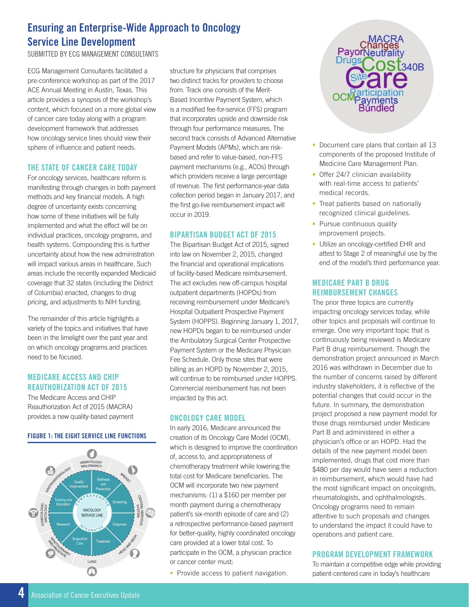# **Ensuring an Enterprise-Wide Approach to Oncology Service Line Development**

SUBMITTED BY ECG MANAGEMENT CONSULTANTS

ECG Management Consultants facilitated a pre-conference workshop as part of the 2017 ACE Annual Meeting in Austin, Texas. This article provides a synopsis of the workshop's content, which focused on a more global view of cancer care today along with a program development framework that addresses how oncology service lines should view their sphere of influence and patient needs.

### **THE STATE OF CANCER CARE TODAY**

For oncology services, healthcare reform is manifesting through changes in both payment methods and key financial models. A high degree of uncertainty exists concerning how some of these initiatives will be fully implemented and what the effect will be on individual practices, oncology programs, and health systems. Compounding this is further uncertainty about how the new administration will impact various areas in healthcare. Such areas include the recently expanded Medicaid coverage that 32 states (including the District of Columbia) enacted, changes to drug pricing, and adjustments to NIH funding.

The remainder of this article highlights a variety of the topics and initiatives that have been in the limelight over the past year and on which oncology programs and practices need to be focused.

# **MEDICARE ACCESS AND CHIP REAUTHORIZATION ACT OF 2015**

The Medicare Access and CHIP Reauthorization Act of 2015 (MACRA) provides a new quality-based payment

### **FIGURE 1: THE EIGHT SERVICE LINE FUNCTIONS**



structure for physicians that comprises two distinct tracks for providers to choose from. Track one consists of the Merit-Based Incentive Payment System, which is a modified fee-for-service (FFS) program that incorporates upside and downside risk through four performance measures. The second track consists of Advanced Alternative Payment Models (APMs), which are riskbased and refer to value-based, non-FFS payment mechanisms (e.g., ACOs) through which providers receive a large percentage of revenue. The first performance-year data collection period began in January 2017, and the first go-live reimbursement impact will occur in 2019.

# **BIPARTISAN BUDGET ACT OF 2015**

The Bipartisan Budget Act of 2015, signed into law on November 2, 2015, changed the financial and operational implications of facility-based Medicare reimbursement. The act excludes new off-campus hospital outpatient departments (HOPDs) from receiving reimbursement under Medicare's Hospital Outpatient Prospective Payment System (HOPPS). Beginning January 1, 2017, new HOPDs began to be reimbursed under the Ambulatory Surgical Center Prospective Payment System or the Medicare Physician Fee Schedule. Only those sites that were billing as an HOPD by November 2, 2015, will continue to be reimbursed under HOPPS. Commercial reimbursement has not been impacted by this act.

# **ONCOLOGY CARE MODEL**

In early 2016, Medicare announced the creation of its Oncology Care Model (OCM), which is designed to improve the coordination of, access to, and appropriateness of chemotherapy treatment while lowering the total cost for Medicare beneficiaries. The OCM will incorporate two new payment mechanisms: (1) a \$160 per member per month payment during a chemotherapy patient's six-month episode of care and (2) a retrospective performance-based payment for better-quality, highly coordinated oncology care provided at a lower total cost. To participate in the OCM, a physician practice or cancer center must:

**Provide access to patient navigation.** 



- Document care plans that contain all 13 components of the proposed Institute of Medicine Care Management Plan.
- **Offer 24/7 clinician availability** with real-time access to patients' medical records.
- Treat patients based on nationally recognized clinical guidelines.
- Pursue continuous quality improvement projects.
- **Utilize an oncology-certified EHR and** attest to Stage 2 of meaningful use by the end of the model's third performance year.

# **MEDICARE PART B DRUG REIMBURSEMENT CHANGES**

The prior three topics are currently impacting oncology services today, while other topics and proposals will continue to emerge. One very important topic that is continuously being reviewed is Medicare Part B drug reimbursement. Though the demonstration project announced in March 2016 was withdrawn in December due to the number of concerns raised by different industry stakeholders, it is reflective of the potential changes that could occur in the future. In summary, the demonstration project proposed a new payment model for those drugs reimbursed under Medicare Part B and administered in either a physician's office or an HOPD. Had the details of the new payment model been implemented, drugs that cost more than \$480 per day would have seen a reduction in reimbursement, which would have had the most significant impact on oncologists, rheumatologists, and ophthalmologists. Oncology programs need to remain attentive to such proposals and changes to understand the impact it could have to operations and patient care.

# **PROGRAM DEVELOPMENT FRAMEWORK**

To maintain a competitive edge while providing patient-centered care in today's healthcare